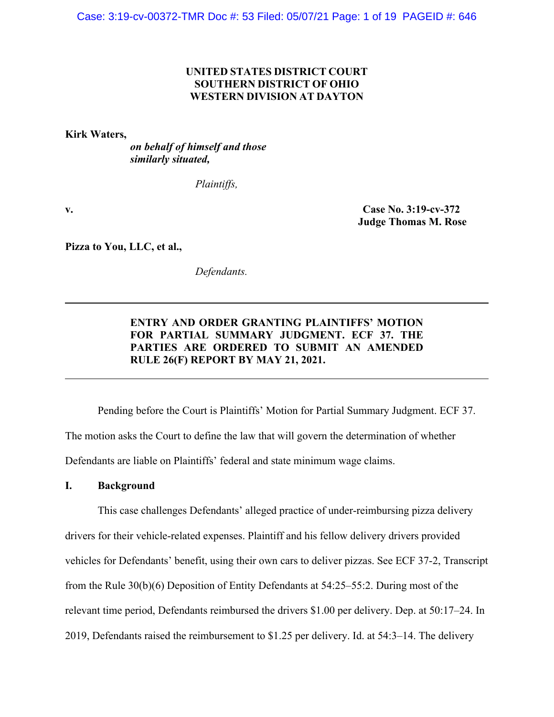## **UNITED STATES DISTRICT COURT SOUTHERN DISTRICT OF OHIO WESTERN DIVISION AT DAYTON**

**Kirk Waters,** 

*on behalf of himself and those similarly situated,* 

*Plaintiffs,*

**v. Case No. 3:19-cv-372 Judge Thomas M. Rose** 

**Pizza to You, LLC, et al.,** 

*Defendants.*

# **ENTRY AND ORDER GRANTING PLAINTIFFS' MOTION FOR PARTIAL SUMMARY JUDGMENT. ECF 37. THE PARTIES ARE ORDERED TO SUBMIT AN AMENDED RULE 26(F) REPORT BY MAY 21, 2021.**

Pending before the Court is Plaintiffs' Motion for Partial Summary Judgment. ECF 37. The motion asks the Court to define the law that will govern the determination of whether Defendants are liable on Plaintiffs' federal and state minimum wage claims.

### **I. Background**

 This case challenges Defendants' alleged practice of under-reimbursing pizza delivery drivers for their vehicle-related expenses. Plaintiff and his fellow delivery drivers provided vehicles for Defendants' benefit, using their own cars to deliver pizzas. See ECF 37-2, Transcript from the Rule 30(b)(6) Deposition of Entity Defendants at 54:25–55:2. During most of the relevant time period, Defendants reimbursed the drivers \$1.00 per delivery. Dep. at 50:17–24. In 2019, Defendants raised the reimbursement to \$1.25 per delivery. Id. at 54:3–14. The delivery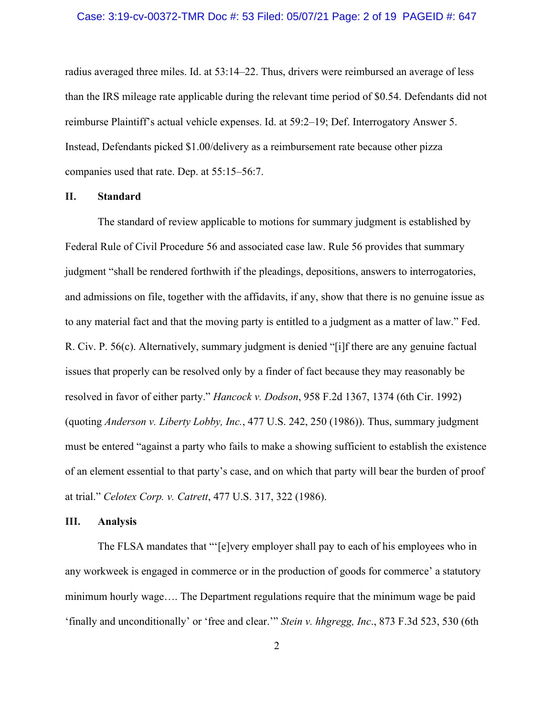radius averaged three miles. Id. at 53:14–22. Thus, drivers were reimbursed an average of less than the IRS mileage rate applicable during the relevant time period of \$0.54. Defendants did not reimburse Plaintiff's actual vehicle expenses. Id. at 59:2–19; Def. Interrogatory Answer 5. Instead, Defendants picked \$1.00/delivery as a reimbursement rate because other pizza companies used that rate. Dep. at 55:15–56:7.

### **II. Standard**

 The standard of review applicable to motions for summary judgment is established by Federal Rule of Civil Procedure 56 and associated case law. Rule 56 provides that summary judgment "shall be rendered forthwith if the pleadings, depositions, answers to interrogatories, and admissions on file, together with the affidavits, if any, show that there is no genuine issue as to any material fact and that the moving party is entitled to a judgment as a matter of law." Fed. R. Civ. P. 56(c). Alternatively, summary judgment is denied "[i]f there are any genuine factual issues that properly can be resolved only by a finder of fact because they may reasonably be resolved in favor of either party." *Hancock v. Dodson*, 958 F.2d 1367, 1374 (6th Cir. 1992) (quoting *Anderson v. Liberty Lobby, Inc.*, 477 U.S. 242, 250 (1986)). Thus, summary judgment must be entered "against a party who fails to make a showing sufficient to establish the existence of an element essential to that party's case, and on which that party will bear the burden of proof at trial." *Celotex Corp. v. Catrett*, 477 U.S. 317, 322 (1986).

### **III. Analysis**

 The FLSA mandates that "'[e]very employer shall pay to each of his employees who in any workweek is engaged in commerce or in the production of goods for commerce' a statutory minimum hourly wage…. The Department regulations require that the minimum wage be paid 'finally and unconditionally' or 'free and clear.'" *Stein v. hhgregg, Inc*., 873 F.3d 523, 530 (6th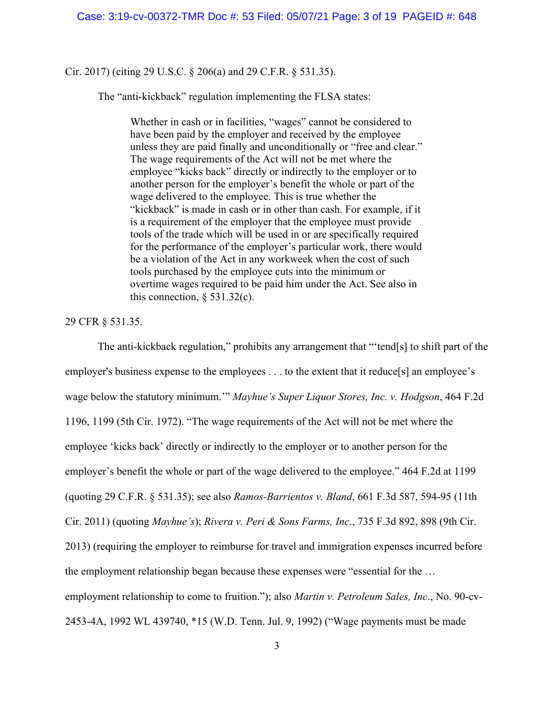Cir. 2017) (citing 29 U.S.C. § 206(a) and 29 C.F.R. § 531.35).

The "anti-kickback" regulation implementing the FLSA states:

Whether in cash or in facilities, "wages" cannot be considered to have been paid by the employer and received by the employee unless they are paid finally and unconditionally or "free and clear." The wage requirements of the Act will not be met where the employee "kicks back" directly or indirectly to the employer or to another person for the employer's benefit the whole or part of the wage delivered to the employee. This is true whether the "kickback" is made in cash or in other than cash. For example, if it is a requirement of the employer that the employee must provide tools of the trade which will be used in or are specifically required for the performance of the employer's particular work, there would be a violation of the Act in any workweek when the cost of such tools purchased by the employee cuts into the minimum or overtime wages required to be paid him under the Act. See also in this connection,  $\S$  531.32(c).

29 CFR § 531.35.

 The anti-kickback regulation," prohibits any arrangement that "'tend[s] to shift part of the employer's business expense to the employees . . . to the extent that it reduce[s] an employee's wage below the statutory minimum.'" *Mayhue's Super Liquor Stores, Inc. v. Hodgson*, 464 F.2d 1196, 1199 (5th Cir. 1972). "The wage requirements of the Act will not be met where the employee 'kicks back' directly or indirectly to the employer or to another person for the employer's benefit the whole or part of the wage delivered to the employee." 464 F.2d at 1199 (quoting 29 C.F.R. § 531.35); see also *Ramos-Barrientos v. Bland*, 661 F.3d 587, 594-95 (11th Cir. 2011) (quoting *Mayhue's*); *Rivera v. Peri & Sons Farms, Inc*., 735 F.3d 892, 898 (9th Cir. 2013) (requiring the employer to reimburse for travel and immigration expenses incurred before the employment relationship began because these expenses were "essential for the … employment relationship to come to fruition."); also *Martin v. Petroleum Sales, Inc*., No. 90-cv-2453-4A, 1992 WL 439740, \*15 (W.D. Tenn. Jul. 9, 1992) ("Wage payments must be made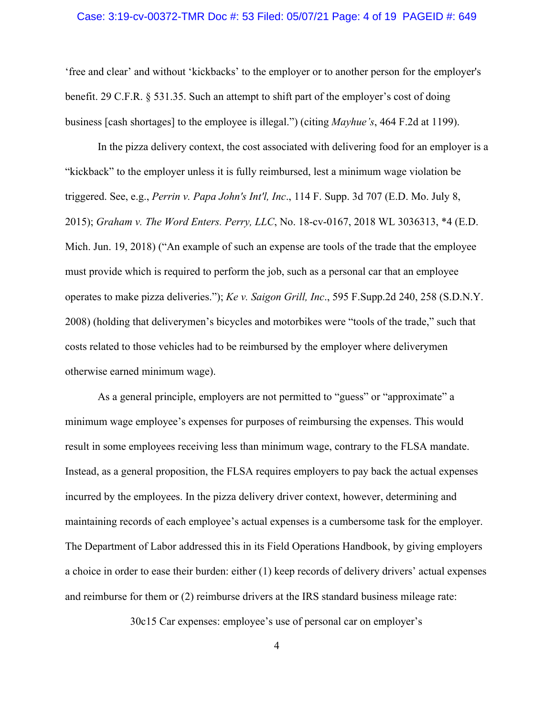### Case: 3:19-cv-00372-TMR Doc #: 53 Filed: 05/07/21 Page: 4 of 19 PAGEID #: 649

'free and clear' and without 'kickbacks' to the employer or to another person for the employer's benefit. 29 C.F.R. § 531.35. Such an attempt to shift part of the employer's cost of doing business [cash shortages] to the employee is illegal.") (citing *Mayhue's*, 464 F.2d at 1199).

 In the pizza delivery context, the cost associated with delivering food for an employer is a "kickback" to the employer unless it is fully reimbursed, lest a minimum wage violation be triggered. See, e.g., *Perrin v. Papa John's Int'l, Inc*., 114 F. Supp. 3d 707 (E.D. Mo. July 8, 2015); *Graham v. The Word Enters. Perry, LLC*, No. 18-cv-0167, 2018 WL 3036313, \*4 (E.D. Mich. Jun. 19, 2018) ("An example of such an expense are tools of the trade that the employee must provide which is required to perform the job, such as a personal car that an employee operates to make pizza deliveries."); *Ke v. Saigon Grill, Inc*., 595 F.Supp.2d 240, 258 (S.D.N.Y. 2008) (holding that deliverymen's bicycles and motorbikes were "tools of the trade," such that costs related to those vehicles had to be reimbursed by the employer where deliverymen otherwise earned minimum wage).

 As a general principle, employers are not permitted to "guess" or "approximate" a minimum wage employee's expenses for purposes of reimbursing the expenses. This would result in some employees receiving less than minimum wage, contrary to the FLSA mandate. Instead, as a general proposition, the FLSA requires employers to pay back the actual expenses incurred by the employees. In the pizza delivery driver context, however, determining and maintaining records of each employee's actual expenses is a cumbersome task for the employer. The Department of Labor addressed this in its Field Operations Handbook, by giving employers a choice in order to ease their burden: either (1) keep records of delivery drivers' actual expenses and reimburse for them or (2) reimburse drivers at the IRS standard business mileage rate:

30c15 Car expenses: employee's use of personal car on employer's

4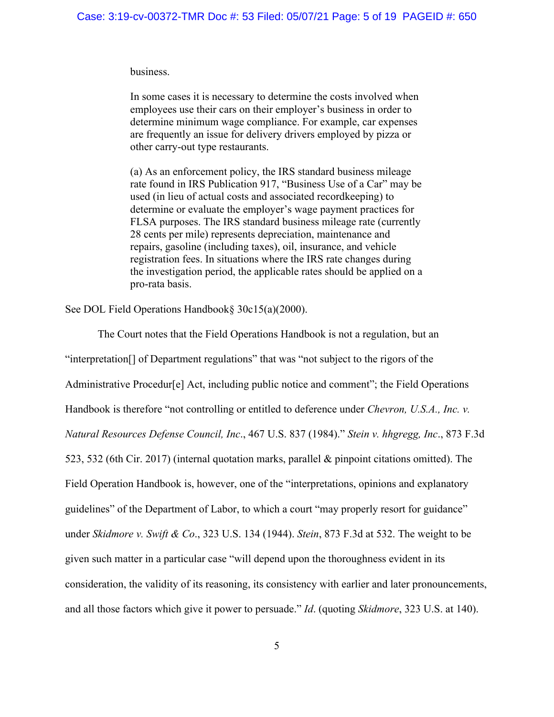business.

In some cases it is necessary to determine the costs involved when employees use their cars on their employer's business in order to determine minimum wage compliance. For example, car expenses are frequently an issue for delivery drivers employed by pizza or other carry-out type restaurants.

(a) As an enforcement policy, the IRS standard business mileage rate found in IRS Publication 917, "Business Use of a Car" may be used (in lieu of actual costs and associated recordkeeping) to determine or evaluate the employer's wage payment practices for FLSA purposes. The IRS standard business mileage rate (currently 28 cents per mile) represents depreciation, maintenance and repairs, gasoline (including taxes), oil, insurance, and vehicle registration fees. In situations where the IRS rate changes during the investigation period, the applicable rates should be applied on a pro-rata basis.

See DOL Field Operations Handbook§ 30c15(a)(2000).

 The Court notes that the Field Operations Handbook is not a regulation, but an "interpretation[] of Department regulations" that was "not subject to the rigors of the Administrative Procedur[e] Act, including public notice and comment"; the Field Operations Handbook is therefore "not controlling or entitled to deference under *Chevron, U.S.A., Inc. v. Natural Resources Defense Council, Inc*., 467 U.S. 837 (1984)." *Stein v. hhgregg, Inc*., 873 F.3d 523, 532 (6th Cir. 2017) (internal quotation marks, parallel & pinpoint citations omitted). The Field Operation Handbook is, however, one of the "interpretations, opinions and explanatory guidelines" of the Department of Labor, to which a court "may properly resort for guidance" under *Skidmore v. Swift & Co*., 323 U.S. 134 (1944). *Stein*, 873 F.3d at 532. The weight to be given such matter in a particular case "will depend upon the thoroughness evident in its consideration, the validity of its reasoning, its consistency with earlier and later pronouncements, and all those factors which give it power to persuade." *Id*. (quoting *Skidmore*, 323 U.S. at 140).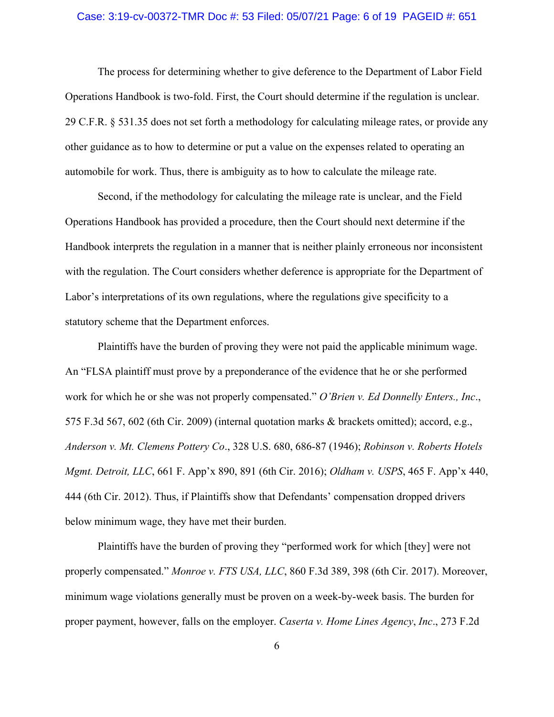### Case: 3:19-cv-00372-TMR Doc #: 53 Filed: 05/07/21 Page: 6 of 19 PAGEID #: 651

 The process for determining whether to give deference to the Department of Labor Field Operations Handbook is two-fold. First, the Court should determine if the regulation is unclear. 29 C.F.R. § 531.35 does not set forth a methodology for calculating mileage rates, or provide any other guidance as to how to determine or put a value on the expenses related to operating an automobile for work. Thus, there is ambiguity as to how to calculate the mileage rate.

 Second, if the methodology for calculating the mileage rate is unclear, and the Field Operations Handbook has provided a procedure, then the Court should next determine if the Handbook interprets the regulation in a manner that is neither plainly erroneous nor inconsistent with the regulation. The Court considers whether deference is appropriate for the Department of Labor's interpretations of its own regulations, where the regulations give specificity to a statutory scheme that the Department enforces.

 Plaintiffs have the burden of proving they were not paid the applicable minimum wage. An "FLSA plaintiff must prove by a preponderance of the evidence that he or she performed work for which he or she was not properly compensated." *O'Brien v. Ed Donnelly Enters., Inc*., 575 F.3d 567, 602 (6th Cir. 2009) (internal quotation marks & brackets omitted); accord, e.g., *Anderson v. Mt. Clemens Pottery Co*., 328 U.S. 680, 686-87 (1946); *Robinson v. Roberts Hotels Mgmt. Detroit, LLC*, 661 F. App'x 890, 891 (6th Cir. 2016); *Oldham v. USPS*, 465 F. App'x 440, 444 (6th Cir. 2012). Thus, if Plaintiffs show that Defendants' compensation dropped drivers below minimum wage, they have met their burden.

 Plaintiffs have the burden of proving they "performed work for which [they] were not properly compensated." *Monroe v. FTS USA, LLC*, 860 F.3d 389, 398 (6th Cir. 2017). Moreover, minimum wage violations generally must be proven on a week-by-week basis. The burden for proper payment, however, falls on the employer. *Caserta v. Home Lines Agency*, *Inc*., 273 F.2d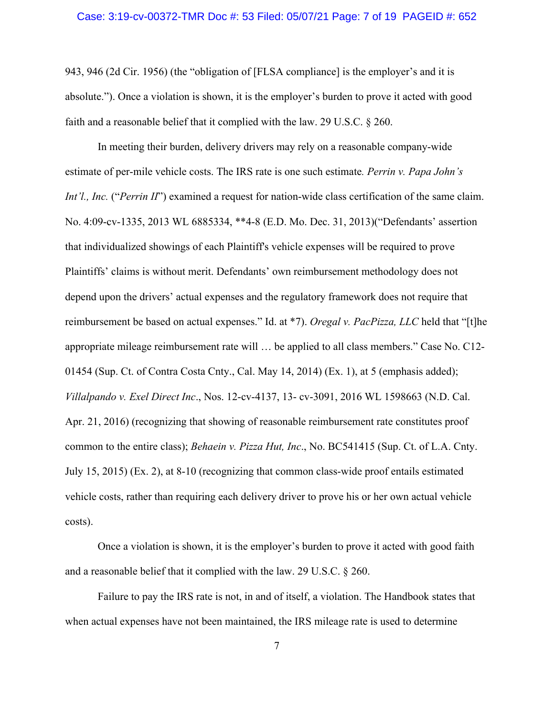### Case: 3:19-cv-00372-TMR Doc #: 53 Filed: 05/07/21 Page: 7 of 19 PAGEID #: 652

943, 946 (2d Cir. 1956) (the "obligation of [FLSA compliance] is the employer's and it is absolute."). Once a violation is shown, it is the employer's burden to prove it acted with good faith and a reasonable belief that it complied with the law. 29 U.S.C. § 260.

 In meeting their burden, delivery drivers may rely on a reasonable company-wide estimate of per-mile vehicle costs. The IRS rate is one such estimate*. Perrin v. Papa John's Int'l., Inc.* ("*Perrin II*") examined a request for nation-wide class certification of the same claim. No. 4:09-cv-1335, 2013 WL 6885334, \*\*4-8 (E.D. Mo. Dec. 31, 2013)("Defendants' assertion that individualized showings of each Plaintiff's vehicle expenses will be required to prove Plaintiffs' claims is without merit. Defendants' own reimbursement methodology does not depend upon the drivers' actual expenses and the regulatory framework does not require that reimbursement be based on actual expenses." Id. at \*7). *Oregal v. PacPizza, LLC* held that "[t]he appropriate mileage reimbursement rate will … be applied to all class members." Case No. C12- 01454 (Sup. Ct. of Contra Costa Cnty., Cal. May 14, 2014) (Ex. 1), at 5 (emphasis added); *Villalpando v. Exel Direct Inc*., Nos. 12-cv-4137, 13- cv-3091, 2016 WL 1598663 (N.D. Cal. Apr. 21, 2016) (recognizing that showing of reasonable reimbursement rate constitutes proof common to the entire class); *Behaein v. Pizza Hut, Inc*., No. BC541415 (Sup. Ct. of L.A. Cnty. July 15, 2015) (Ex. 2), at 8-10 (recognizing that common class-wide proof entails estimated vehicle costs, rather than requiring each delivery driver to prove his or her own actual vehicle costs).

 Once a violation is shown, it is the employer's burden to prove it acted with good faith and a reasonable belief that it complied with the law. 29 U.S.C. § 260.

 Failure to pay the IRS rate is not, in and of itself, a violation. The Handbook states that when actual expenses have not been maintained, the IRS mileage rate is used to determine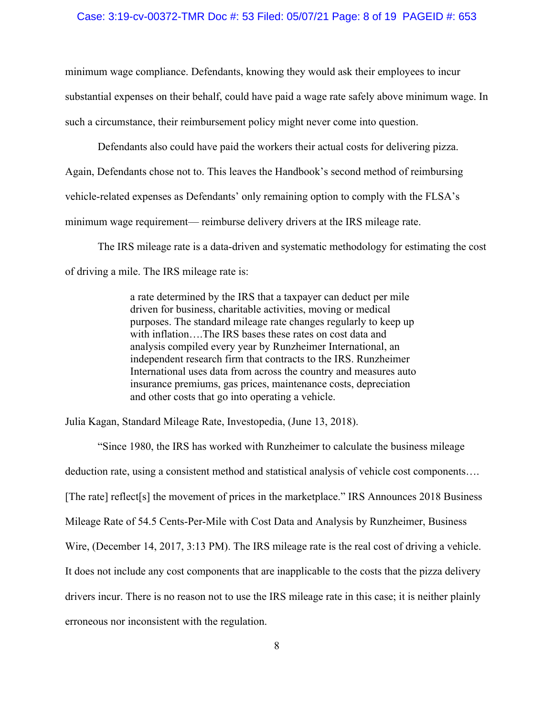#### Case: 3:19-cv-00372-TMR Doc #: 53 Filed: 05/07/21 Page: 8 of 19 PAGEID #: 653

minimum wage compliance. Defendants, knowing they would ask their employees to incur substantial expenses on their behalf, could have paid a wage rate safely above minimum wage. In such a circumstance, their reimbursement policy might never come into question.

 Defendants also could have paid the workers their actual costs for delivering pizza. Again, Defendants chose not to. This leaves the Handbook's second method of reimbursing vehicle-related expenses as Defendants' only remaining option to comply with the FLSA's minimum wage requirement— reimburse delivery drivers at the IRS mileage rate.

 The IRS mileage rate is a data-driven and systematic methodology for estimating the cost of driving a mile. The IRS mileage rate is:

> a rate determined by the IRS that a taxpayer can deduct per mile driven for business, charitable activities, moving or medical purposes. The standard mileage rate changes regularly to keep up with inflation….The IRS bases these rates on cost data and analysis compiled every year by Runzheimer International, an independent research firm that contracts to the IRS. Runzheimer International uses data from across the country and measures auto insurance premiums, gas prices, maintenance costs, depreciation and other costs that go into operating a vehicle.

Julia Kagan, Standard Mileage Rate, Investopedia, (June 13, 2018).

 "Since 1980, the IRS has worked with Runzheimer to calculate the business mileage deduction rate, using a consistent method and statistical analysis of vehicle cost components…. [The rate] reflect[s] the movement of prices in the marketplace." IRS Announces 2018 Business Mileage Rate of 54.5 Cents-Per-Mile with Cost Data and Analysis by Runzheimer, Business Wire, (December 14, 2017, 3:13 PM). The IRS mileage rate is the real cost of driving a vehicle. It does not include any cost components that are inapplicable to the costs that the pizza delivery drivers incur. There is no reason not to use the IRS mileage rate in this case; it is neither plainly erroneous nor inconsistent with the regulation.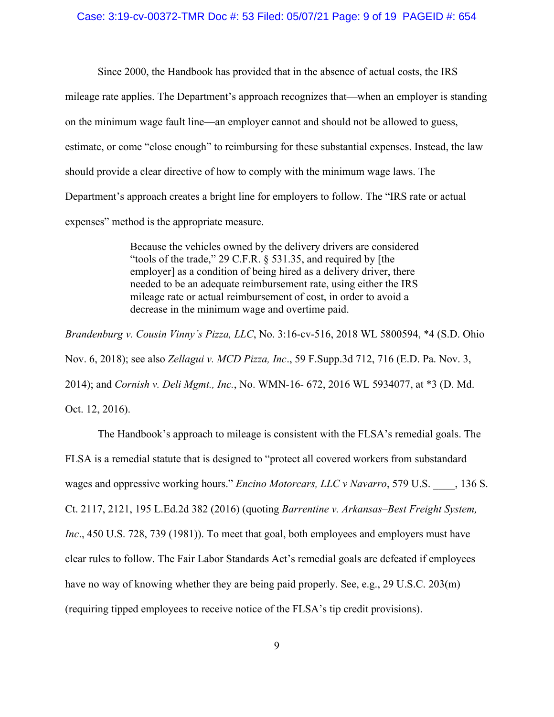Since 2000, the Handbook has provided that in the absence of actual costs, the IRS mileage rate applies. The Department's approach recognizes that—when an employer is standing on the minimum wage fault line—an employer cannot and should not be allowed to guess, estimate, or come "close enough" to reimbursing for these substantial expenses. Instead, the law should provide a clear directive of how to comply with the minimum wage laws. The Department's approach creates a bright line for employers to follow. The "IRS rate or actual expenses" method is the appropriate measure.

> Because the vehicles owned by the delivery drivers are considered "tools of the trade," 29 C.F.R. § 531.35, and required by [the employer] as a condition of being hired as a delivery driver, there needed to be an adequate reimbursement rate, using either the IRS mileage rate or actual reimbursement of cost, in order to avoid a decrease in the minimum wage and overtime paid.

*Brandenburg v. Cousin Vinny's Pizza, LLC*, No. 3:16-cv-516, 2018 WL 5800594, \*4 (S.D. Ohio Nov. 6, 2018); see also *Zellagui v. MCD Pizza, Inc*., 59 F.Supp.3d 712, 716 (E.D. Pa. Nov. 3, 2014); and *Cornish v. Deli Mgmt., Inc.*, No. WMN-16- 672, 2016 WL 5934077, at \*3 (D. Md. Oct. 12, 2016).

 The Handbook's approach to mileage is consistent with the FLSA's remedial goals. The FLSA is a remedial statute that is designed to "protect all covered workers from substandard wages and oppressive working hours." *Encino Motorcars, LLC v Navarro*, 579 U.S. \_\_\_\_, 136 S. Ct. 2117, 2121, 195 L.Ed.2d 382 (2016) (quoting *Barrentine v. Arkansas–Best Freight System, Inc.*, 450 U.S. 728, 739 (1981)). To meet that goal, both employees and employers must have clear rules to follow. The Fair Labor Standards Act's remedial goals are defeated if employees have no way of knowing whether they are being paid properly. See, e.g., 29 U.S.C. 203(m) (requiring tipped employees to receive notice of the FLSA's tip credit provisions).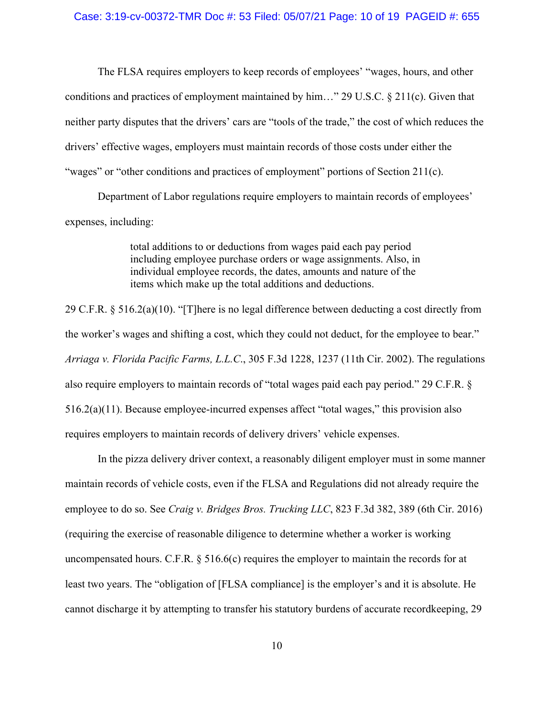The FLSA requires employers to keep records of employees' "wages, hours, and other conditions and practices of employment maintained by him..." 29 U.S.C.  $\S$  211(c). Given that neither party disputes that the drivers' cars are "tools of the trade," the cost of which reduces the drivers' effective wages, employers must maintain records of those costs under either the "wages" or "other conditions and practices of employment" portions of Section 211(c).

 Department of Labor regulations require employers to maintain records of employees' expenses, including:

> total additions to or deductions from wages paid each pay period including employee purchase orders or wage assignments. Also, in individual employee records, the dates, amounts and nature of the items which make up the total additions and deductions.

29 C.F.R. § 516.2(a)(10). "[T]here is no legal difference between deducting a cost directly from the worker's wages and shifting a cost, which they could not deduct, for the employee to bear." *Arriaga v. Florida Pacific Farms, L.L.C*., 305 F.3d 1228, 1237 (11th Cir. 2002). The regulations also require employers to maintain records of "total wages paid each pay period." 29 C.F.R. § 516.2(a)(11). Because employee-incurred expenses affect "total wages," this provision also requires employers to maintain records of delivery drivers' vehicle expenses.

 In the pizza delivery driver context, a reasonably diligent employer must in some manner maintain records of vehicle costs, even if the FLSA and Regulations did not already require the employee to do so. See *Craig v. Bridges Bros. Trucking LLC*, 823 F.3d 382, 389 (6th Cir. 2016) (requiring the exercise of reasonable diligence to determine whether a worker is working uncompensated hours. C.F.R. § 516.6(c) requires the employer to maintain the records for at least two years. The "obligation of [FLSA compliance] is the employer's and it is absolute. He cannot discharge it by attempting to transfer his statutory burdens of accurate recordkeeping, 29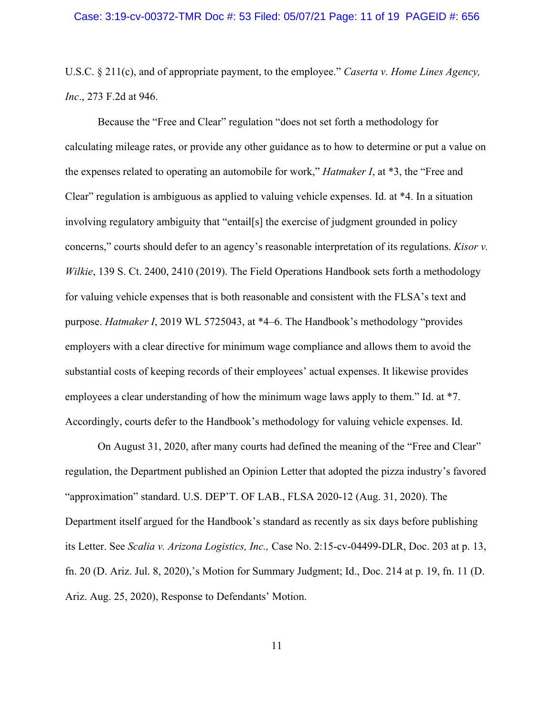### Case: 3:19-cv-00372-TMR Doc #: 53 Filed: 05/07/21 Page: 11 of 19 PAGEID #: 656

U.S.C. § 211(c), and of appropriate payment, to the employee." *Caserta v. Home Lines Agency, Inc*., 273 F.2d at 946.

Because the "Free and Clear" regulation "does not set forth a methodology for calculating mileage rates, or provide any other guidance as to how to determine or put a value on the expenses related to operating an automobile for work," *Hatmaker I*, at \*3, the "Free and Clear" regulation is ambiguous as applied to valuing vehicle expenses. Id. at \*4. In a situation involving regulatory ambiguity that "entail[s] the exercise of judgment grounded in policy concerns," courts should defer to an agency's reasonable interpretation of its regulations. *Kisor v. Wilkie*, 139 S. Ct. 2400, 2410 (2019). The Field Operations Handbook sets forth a methodology for valuing vehicle expenses that is both reasonable and consistent with the FLSA's text and purpose. *Hatmaker I*, 2019 WL 5725043, at \*4–6. The Handbook's methodology "provides employers with a clear directive for minimum wage compliance and allows them to avoid the substantial costs of keeping records of their employees' actual expenses. It likewise provides employees a clear understanding of how the minimum wage laws apply to them." Id. at \*7. Accordingly, courts defer to the Handbook's methodology for valuing vehicle expenses. Id.

 On August 31, 2020, after many courts had defined the meaning of the "Free and Clear" regulation, the Department published an Opinion Letter that adopted the pizza industry's favored "approximation" standard. U.S. DEP'T. OF LAB., FLSA 2020-12 (Aug. 31, 2020). The Department itself argued for the Handbook's standard as recently as six days before publishing its Letter. See *Scalia v. Arizona Logistics, Inc.,* Case No. 2:15-cv-04499-DLR, Doc. 203 at p. 13, fn. 20 (D. Ariz. Jul. 8, 2020),'s Motion for Summary Judgment; Id., Doc. 214 at p. 19, fn. 11 (D. Ariz. Aug. 25, 2020), Response to Defendants' Motion.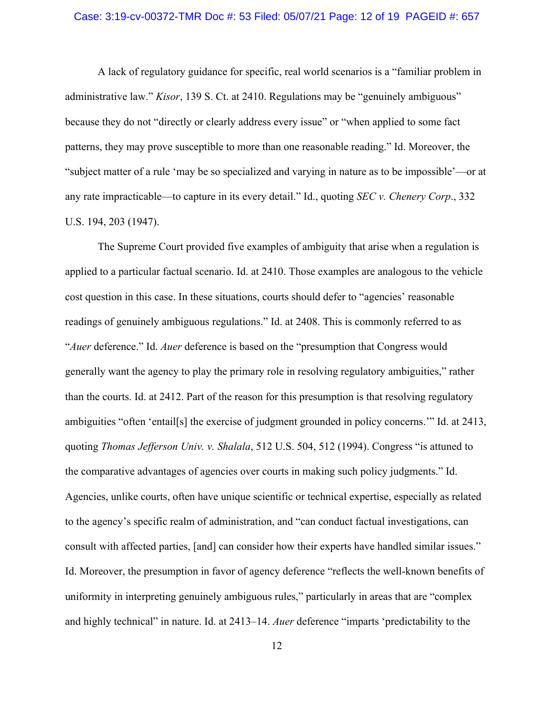### Case: 3:19-cv-00372-TMR Doc #: 53 Filed: 05/07/21 Page: 12 of 19 PAGEID #: 657

 A lack of regulatory guidance for specific, real world scenarios is a "familiar problem in administrative law." *Kisor*, 139 S. Ct. at 2410. Regulations may be "genuinely ambiguous" because they do not "directly or clearly address every issue" or "when applied to some fact patterns, they may prove susceptible to more than one reasonable reading." Id. Moreover, the "subject matter of a rule 'may be so specialized and varying in nature as to be impossible'—or at any rate impracticable—to capture in its every detail." Id., quoting *SEC v. Chenery Corp*., 332 U.S. 194, 203 (1947).

 The Supreme Court provided five examples of ambiguity that arise when a regulation is applied to a particular factual scenario. Id. at 2410. Those examples are analogous to the vehicle cost question in this case. In these situations, courts should defer to "agencies' reasonable readings of genuinely ambiguous regulations." Id. at 2408. This is commonly referred to as "*Auer* deference." Id. *Auer* deference is based on the "presumption that Congress would generally want the agency to play the primary role in resolving regulatory ambiguities," rather than the courts. Id. at 2412. Part of the reason for this presumption is that resolving regulatory ambiguities "often 'entail[s] the exercise of judgment grounded in policy concerns.'" Id. at 2413, quoting *Thomas Jefferson Univ. v. Shalala*, 512 U.S. 504, 512 (1994). Congress "is attuned to the comparative advantages of agencies over courts in making such policy judgments." Id. Agencies, unlike courts, often have unique scientific or technical expertise, especially as related to the agency's specific realm of administration, and "can conduct factual investigations, can consult with affected parties, [and] can consider how their experts have handled similar issues." Id. Moreover, the presumption in favor of agency deference "reflects the well-known benefits of uniformity in interpreting genuinely ambiguous rules," particularly in areas that are "complex and highly technical" in nature. Id. at 2413–14. *Auer* deference "imparts 'predictability to the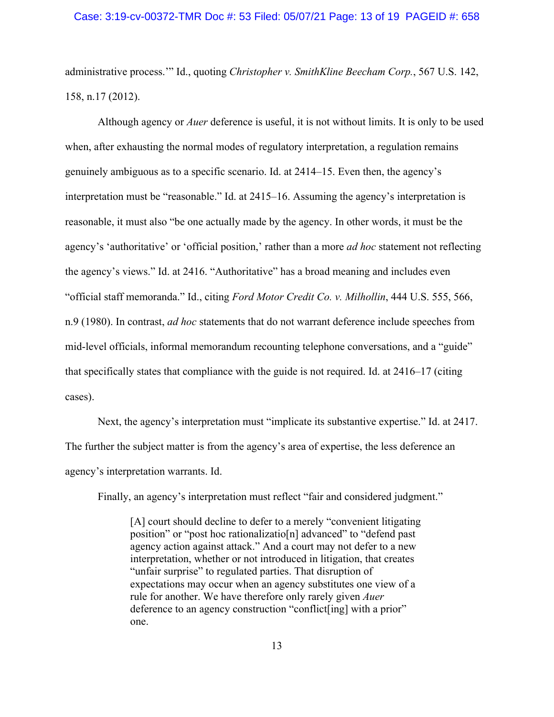#### Case: 3:19-cv-00372-TMR Doc #: 53 Filed: 05/07/21 Page: 13 of 19 PAGEID #: 658

administrative process.'" Id., quoting *Christopher v. SmithKline Beecham Corp.*, 567 U.S. 142, 158, n.17 (2012).

 Although agency or *Auer* deference is useful, it is not without limits. It is only to be used when, after exhausting the normal modes of regulatory interpretation, a regulation remains genuinely ambiguous as to a specific scenario. Id. at 2414–15. Even then, the agency's interpretation must be "reasonable." Id. at 2415–16. Assuming the agency's interpretation is reasonable, it must also "be one actually made by the agency. In other words, it must be the agency's 'authoritative' or 'official position,' rather than a more *ad hoc* statement not reflecting the agency's views." Id. at 2416. "Authoritative" has a broad meaning and includes even "official staff memoranda." Id., citing *Ford Motor Credit Co. v. Milhollin*, 444 U.S. 555, 566, n.9 (1980). In contrast, *ad hoc* statements that do not warrant deference include speeches from mid-level officials, informal memorandum recounting telephone conversations, and a "guide" that specifically states that compliance with the guide is not required. Id. at 2416–17 (citing cases).

 Next, the agency's interpretation must "implicate its substantive expertise." Id. at 2417. The further the subject matter is from the agency's area of expertise, the less deference an agency's interpretation warrants. Id.

Finally, an agency's interpretation must reflect "fair and considered judgment."

[A] court should decline to defer to a merely "convenient litigating position" or "post hoc rationalizatio[n] advanced" to "defend past agency action against attack." And a court may not defer to a new interpretation, whether or not introduced in litigation, that creates "unfair surprise" to regulated parties. That disruption of expectations may occur when an agency substitutes one view of a rule for another. We have therefore only rarely given *Auer* deference to an agency construction "conflict[ing] with a prior" one.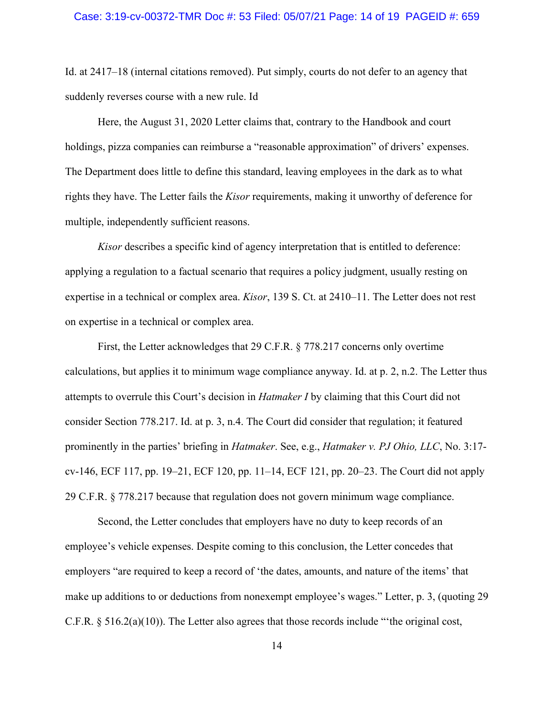Id. at 2417–18 (internal citations removed). Put simply, courts do not defer to an agency that suddenly reverses course with a new rule. Id

 Here, the August 31, 2020 Letter claims that, contrary to the Handbook and court holdings, pizza companies can reimburse a "reasonable approximation" of drivers' expenses. The Department does little to define this standard, leaving employees in the dark as to what rights they have. The Letter fails the *Kisor* requirements, making it unworthy of deference for multiple, independently sufficient reasons.

*Kisor* describes a specific kind of agency interpretation that is entitled to deference: applying a regulation to a factual scenario that requires a policy judgment, usually resting on expertise in a technical or complex area. *Kisor*, 139 S. Ct. at 2410–11. The Letter does not rest on expertise in a technical or complex area.

 First, the Letter acknowledges that 29 C.F.R. § 778.217 concerns only overtime calculations, but applies it to minimum wage compliance anyway. Id. at p. 2, n.2. The Letter thus attempts to overrule this Court's decision in *Hatmaker I* by claiming that this Court did not consider Section 778.217. Id. at p. 3, n.4. The Court did consider that regulation; it featured prominently in the parties' briefing in *Hatmaker*. See, e.g., *Hatmaker v. PJ Ohio, LLC*, No. 3:17 cv-146, ECF 117, pp. 19–21, ECF 120, pp. 11–14, ECF 121, pp. 20–23. The Court did not apply 29 C.F.R. § 778.217 because that regulation does not govern minimum wage compliance.

 Second, the Letter concludes that employers have no duty to keep records of an employee's vehicle expenses. Despite coming to this conclusion, the Letter concedes that employers "are required to keep a record of 'the dates, amounts, and nature of the items' that make up additions to or deductions from nonexempt employee's wages." Letter, p. 3, (quoting 29 C.F.R. § 516.2(a)(10)). The Letter also agrees that those records include "'the original cost,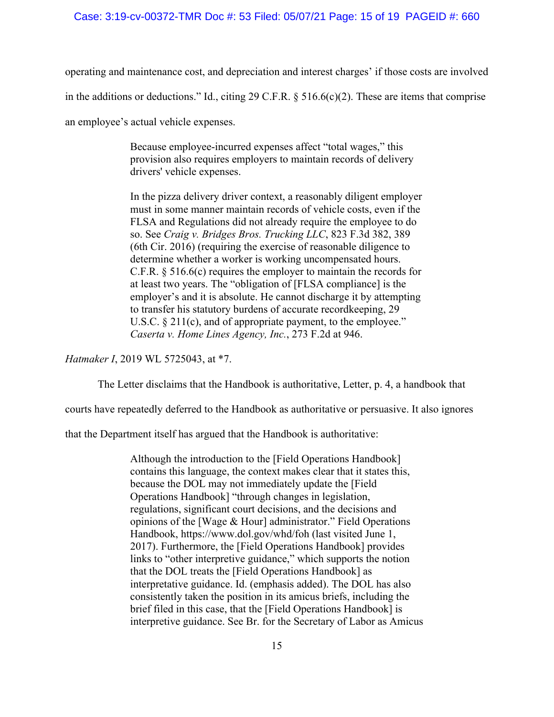### Case: 3:19-cv-00372-TMR Doc #: 53 Filed: 05/07/21 Page: 15 of 19 PAGEID #: 660

operating and maintenance cost, and depreciation and interest charges' if those costs are involved in the additions or deductions." Id., citing 29 C.F.R. § 516.6(c)(2). These are items that comprise

an employee's actual vehicle expenses.

Because employee-incurred expenses affect "total wages," this provision also requires employers to maintain records of delivery drivers' vehicle expenses.

In the pizza delivery driver context, a reasonably diligent employer must in some manner maintain records of vehicle costs, even if the FLSA and Regulations did not already require the employee to do so. See *Craig v. Bridges Bros. Trucking LLC*, 823 F.3d 382, 389 (6th Cir. 2016) (requiring the exercise of reasonable diligence to determine whether a worker is working uncompensated hours. C.F.R. § 516.6(c) requires the employer to maintain the records for at least two years. The "obligation of [FLSA compliance] is the employer's and it is absolute. He cannot discharge it by attempting to transfer his statutory burdens of accurate recordkeeping, 29 U.S.C. § 211(c), and of appropriate payment, to the employee." *Caserta v. Home Lines Agency, Inc.*, 273 F.2d at 946.

*Hatmaker I*, 2019 WL 5725043, at \*7.

The Letter disclaims that the Handbook is authoritative, Letter, p. 4, a handbook that

courts have repeatedly deferred to the Handbook as authoritative or persuasive. It also ignores

that the Department itself has argued that the Handbook is authoritative:

Although the introduction to the [Field Operations Handbook] contains this language, the context makes clear that it states this, because the DOL may not immediately update the [Field Operations Handbook] "through changes in legislation, regulations, significant court decisions, and the decisions and opinions of the [Wage & Hour] administrator." Field Operations Handbook, https://www.dol.gov/whd/foh (last visited June 1, 2017). Furthermore, the [Field Operations Handbook] provides links to "other interpretive guidance," which supports the notion that the DOL treats the [Field Operations Handbook] as interpretative guidance. Id. (emphasis added). The DOL has also consistently taken the position in its amicus briefs, including the brief filed in this case, that the [Field Operations Handbook] is interpretive guidance. See Br. for the Secretary of Labor as Amicus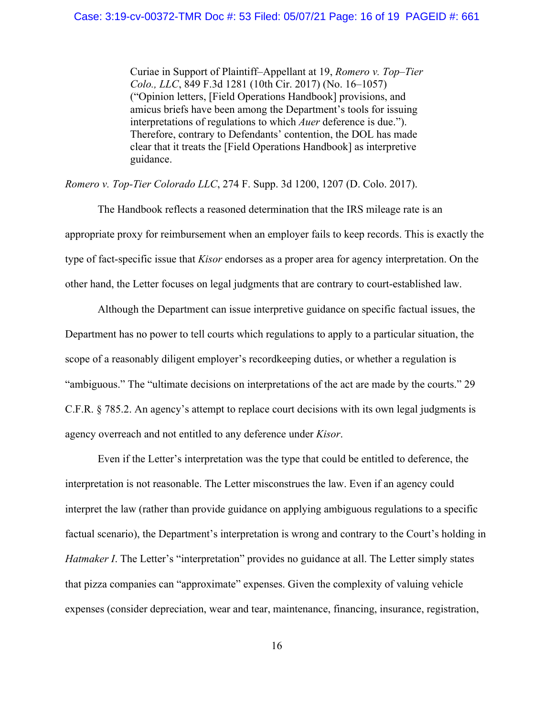### Case: 3:19-cv-00372-TMR Doc #: 53 Filed: 05/07/21 Page: 16 of 19 PAGEID #: 661

Curiae in Support of Plaintiff–Appellant at 19, *Romero v. Top–Tier Colo., LLC*, 849 F.3d 1281 (10th Cir. 2017) (No. 16–1057) ("Opinion letters, [Field Operations Handbook] provisions, and amicus briefs have been among the Department's tools for issuing interpretations of regulations to which *Auer* deference is due."). Therefore, contrary to Defendants' contention, the DOL has made clear that it treats the [Field Operations Handbook] as interpretive guidance.

*Romero v. Top-Tier Colorado LLC*, 274 F. Supp. 3d 1200, 1207 (D. Colo. 2017).

 The Handbook reflects a reasoned determination that the IRS mileage rate is an appropriate proxy for reimbursement when an employer fails to keep records. This is exactly the type of fact-specific issue that *Kisor* endorses as a proper area for agency interpretation. On the other hand, the Letter focuses on legal judgments that are contrary to court-established law.

 Although the Department can issue interpretive guidance on specific factual issues, the Department has no power to tell courts which regulations to apply to a particular situation, the scope of a reasonably diligent employer's recordkeeping duties, or whether a regulation is "ambiguous." The "ultimate decisions on interpretations of the act are made by the courts." 29 C.F.R. § 785.2. An agency's attempt to replace court decisions with its own legal judgments is agency overreach and not entitled to any deference under *Kisor*.

 Even if the Letter's interpretation was the type that could be entitled to deference, the interpretation is not reasonable. The Letter misconstrues the law. Even if an agency could interpret the law (rather than provide guidance on applying ambiguous regulations to a specific factual scenario), the Department's interpretation is wrong and contrary to the Court's holding in *Hatmaker I*. The Letter's "interpretation" provides no guidance at all. The Letter simply states that pizza companies can "approximate" expenses. Given the complexity of valuing vehicle expenses (consider depreciation, wear and tear, maintenance, financing, insurance, registration,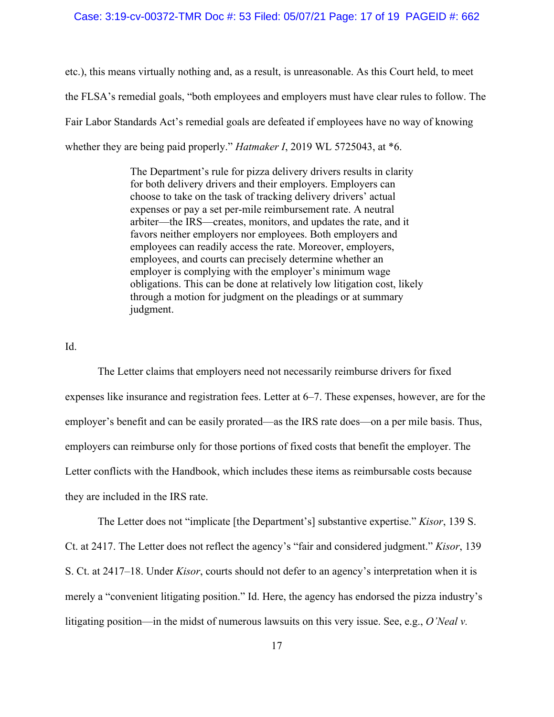etc.), this means virtually nothing and, as a result, is unreasonable. As this Court held, to meet the FLSA's remedial goals, "both employees and employers must have clear rules to follow. The Fair Labor Standards Act's remedial goals are defeated if employees have no way of knowing whether they are being paid properly." *Hatmaker I*, 2019 WL 5725043, at \*6.

> The Department's rule for pizza delivery drivers results in clarity for both delivery drivers and their employers. Employers can choose to take on the task of tracking delivery drivers' actual expenses or pay a set per-mile reimbursement rate. A neutral arbiter—the IRS—creates, monitors, and updates the rate, and it favors neither employers nor employees. Both employers and employees can readily access the rate. Moreover, employers, employees, and courts can precisely determine whether an employer is complying with the employer's minimum wage obligations. This can be done at relatively low litigation cost, likely through a motion for judgment on the pleadings or at summary judgment.

Id.

 The Letter claims that employers need not necessarily reimburse drivers for fixed expenses like insurance and registration fees. Letter at 6–7. These expenses, however, are for the employer's benefit and can be easily prorated—as the IRS rate does—on a per mile basis. Thus, employers can reimburse only for those portions of fixed costs that benefit the employer. The Letter conflicts with the Handbook, which includes these items as reimbursable costs because they are included in the IRS rate.

 The Letter does not "implicate [the Department's] substantive expertise." *Kisor*, 139 S. Ct. at 2417. The Letter does not reflect the agency's "fair and considered judgment." *Kisor*, 139 S. Ct. at 2417–18. Under *Kisor*, courts should not defer to an agency's interpretation when it is merely a "convenient litigating position." Id. Here, the agency has endorsed the pizza industry's litigating position—in the midst of numerous lawsuits on this very issue. See, e.g., *O'Neal v.*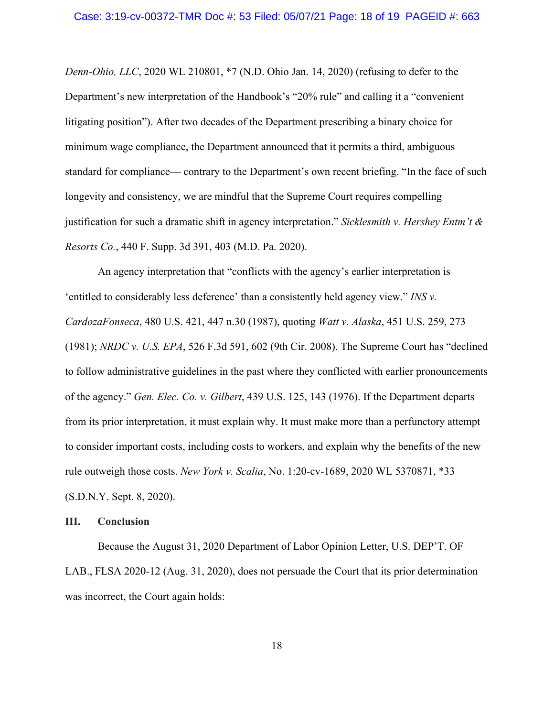*Denn-Ohio, LLC*, 2020 WL 210801, \*7 (N.D. Ohio Jan. 14, 2020) (refusing to defer to the Department's new interpretation of the Handbook's "20% rule" and calling it a "convenient litigating position"). After two decades of the Department prescribing a binary choice for minimum wage compliance, the Department announced that it permits a third, ambiguous standard for compliance— contrary to the Department's own recent briefing. "In the face of such longevity and consistency, we are mindful that the Supreme Court requires compelling justification for such a dramatic shift in agency interpretation." *Sicklesmith v. Hershey Entm't & Resorts Co.*, 440 F. Supp. 3d 391, 403 (M.D. Pa. 2020).

 An agency interpretation that "conflicts with the agency's earlier interpretation is 'entitled to considerably less deference' than a consistently held agency view." *INS v. CardozaFonseca*, 480 U.S. 421, 447 n.30 (1987), quoting *Watt v. Alaska*, 451 U.S. 259, 273 (1981); *NRDC v. U.S. EPA*, 526 F.3d 591, 602 (9th Cir. 2008). The Supreme Court has "declined to follow administrative guidelines in the past where they conflicted with earlier pronouncements of the agency." *Gen. Elec. Co. v. Gilbert*, 439 U.S. 125, 143 (1976). If the Department departs from its prior interpretation, it must explain why. It must make more than a perfunctory attempt to consider important costs, including costs to workers, and explain why the benefits of the new rule outweigh those costs. *New York v. Scalia*, No. 1:20-cv-1689, 2020 WL 5370871, \*33 (S.D.N.Y. Sept. 8, 2020).

### **III. Conclusion**

 Because the August 31, 2020 Department of Labor Opinion Letter, U.S. DEP'T. OF LAB., FLSA 2020-12 (Aug. 31, 2020), does not persuade the Court that its prior determination was incorrect, the Court again holds: